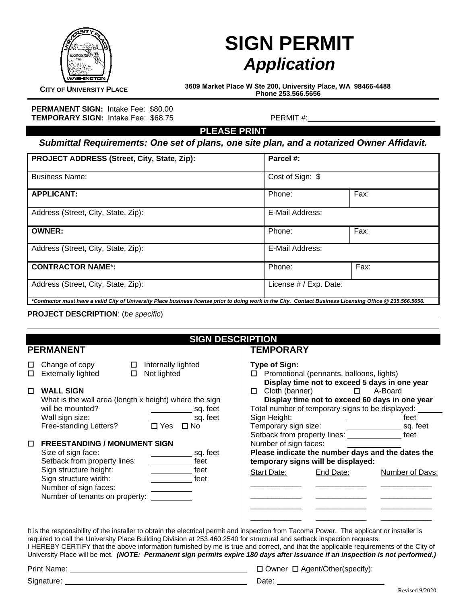

# **SIGN PERMIT** *Application*

**CITY OF UNIVERSITY PLACE 3609 Market Place W Ste 200, University Place, WA 98466-4488 Phone 253.566.5656**

**PERMANENT SIGN:** Intake Fee: \$80.00 **TEMPORARY SIGN:** Intake Fee: \$68.75 PERMIT #:

**PLEASE PRINT** 

*Submittal Requirements: One set of plans, one site plan, and a notarized Owner Affidavit.* 

| PROJECT ADDRESS (Street, City, State, Zip):                                                                                                                                                | Parcel #:              |      |  |
|--------------------------------------------------------------------------------------------------------------------------------------------------------------------------------------------|------------------------|------|--|
| <b>Business Name:</b>                                                                                                                                                                      | Cost of Sign: \$       |      |  |
| <b>APPLICANT:</b>                                                                                                                                                                          | Phone:                 | Fax: |  |
| Address (Street, City, State, Zip):                                                                                                                                                        | E-Mail Address:        |      |  |
| <b>OWNER:</b>                                                                                                                                                                              | Phone:                 | Fax: |  |
| Address (Street, City, State, Zip):                                                                                                                                                        | E-Mail Address:        |      |  |
| <b>CONTRACTOR NAME*:</b>                                                                                                                                                                   | Phone:                 | Fax: |  |
| Address (Street, City, State, Zip):                                                                                                                                                        | License # / Exp. Date: |      |  |
| *Contractor must have a valid City of University Place business license prior to doing work in the City. Contact Business Licensing Office @ 235.566.5656.<br>--- '--- -----------' '' ''' |                        |      |  |

**PROJECT DESCRIPTION**: (*be specific*)

# **SIGN DESCRIPTION**

#### **PERMANENT**

## **TEMPORARY**

| $\Box$ Change of copy     | $\Box$ Internally lig |
|---------------------------|-----------------------|
| $\Box$ Externally lighted | $\Box$ Not lighted    |

|  | <b>.</b> |  |
|--|----------|--|

| п | <b>WALL SIGN</b>                                       |                      |          |
|---|--------------------------------------------------------|----------------------|----------|
|   | What is the wall area (length x height) where the sign |                      |          |
|   | will be mounted?                                       |                      | sq. feet |
|   | Wall sign size:                                        |                      | sq. feet |
|   | Free-standing Letters?                                 | $\Box$ Yes $\Box$ No |          |

 $\square$  Internally lighted

#### **FREESTANDING / MONUMENT SIGN**

| Size of sign face:             | sq. feet |
|--------------------------------|----------|
| Setback from property lines:   | feet     |
| Sign structure height:         | feet     |
| Sign structure width:          | feet     |
| Number of sign faces:          |          |
| Number of tenants on property: |          |

| $\Box$ Cloth (banner)                                                         | $\Box$ Promotional (pennants, balloons, lights)<br>Total number of temporary signs to be displayed: | Display time not to exceed 5 days in one year<br>A-Board<br>Display time not to exceed 60 days in one year |
|-------------------------------------------------------------------------------|-----------------------------------------------------------------------------------------------------|------------------------------------------------------------------------------------------------------------|
| Sign Height:                                                                  |                                                                                                     | feet                                                                                                       |
| Temporary sign size:<br>Setback from property lines:<br>Number of sign faces: | temporary signs will be displayed:                                                                  | sq. feet<br>feet<br>Please indicate the number days and the dates the                                      |
| Start Date:                                                                   | End Date:                                                                                           | Number of Days:                                                                                            |
|                                                                               |                                                                                                     |                                                                                                            |
|                                                                               |                                                                                                     |                                                                                                            |

It is the responsibility of the installer to obtain the electrical permit and inspection from Tacoma Power. The applicant or installer is required to call the University Place Building Division at 253.460.2540 for structural and setback inspection requests. I HEREBY CERTIFY that the above information furnished by me is true and correct, and that the applicable requirements of the City of University Place will be met. *(NOTE: Permanent sign permits expire 180 days after issuance if an inspection is not performed.)* 

Signature:

Print Name: <u>Camerana Agent</u> Communication of the Communication Communication Communication Communication Communication Communication Communication Communication Communication Communication Communication Communication Comm

Date: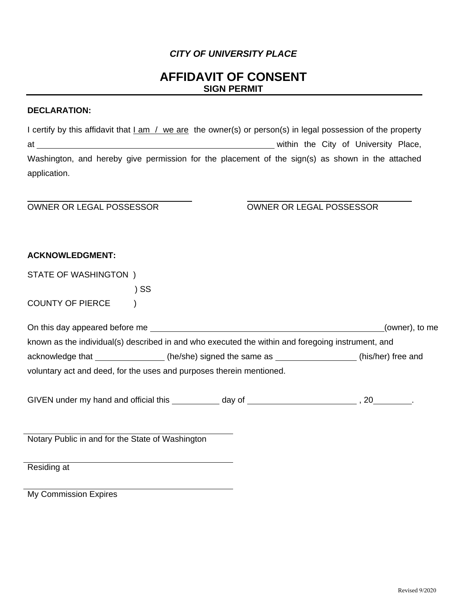### *CITY OF UNIVERSITY PLACE*

# **AFFIDAVIT OF CONSENT SIGN PERMIT**

#### **DECLARATION:**

| I certify by this affidavit that I am / we are the owner(s) or person(s) in legal possession of the property |  |  |                                      |  |
|--------------------------------------------------------------------------------------------------------------|--|--|--------------------------------------|--|
| at a                                                                                                         |  |  | within the City of University Place, |  |
| Washington, and hereby give permission for the placement of the sign(s) as shown in the attached             |  |  |                                      |  |
| application.                                                                                                 |  |  |                                      |  |

#### OWNER OR LEGAL POSSESSOR OWNER OR LEGAL POSSESSOR

#### **ACKNOWLEDGMENT:**

STATE OF WASHINGTON )

) SS

COUNTY OF PIERCE )

| On this day appeared before me                                                                    |                             | (owner), to me     |  |  |
|---------------------------------------------------------------------------------------------------|-----------------------------|--------------------|--|--|
| known as the individual(s) described in and who executed the within and foregoing instrument, and |                             |                    |  |  |
| acknowledge that                                                                                  | (he/she) signed the same as | (his/her) free and |  |  |
| voluntary act and deed, for the uses and purposes therein mentioned.                              |                             |                    |  |  |

GIVEN under my hand and official this \_\_\_\_\_\_\_\_\_\_ day of \_\_\_\_\_\_\_\_\_\_\_\_\_\_\_\_\_\_\_\_\_\_\_\_\_, 20\_\_\_\_\_\_\_\_.

Notary Public in and for the State of Washington

Residing at

My Commission Expires